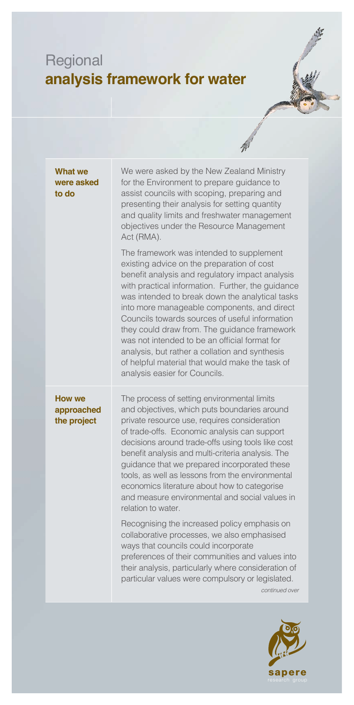## Regional **analysis framework for water**



 $\frac{1}{n}$ 

| <b>What we</b><br>were asked<br>to do      | We were asked by the New Zealand Ministry<br>for the Environment to prepare guidance to<br>assist councils with scoping, preparing and<br>presenting their analysis for setting quantity<br>and quality limits and freshwater management<br>objectives under the Resource Management<br>Act (RMA).                                                                                                                                                                                                                                                                                        |
|--------------------------------------------|-------------------------------------------------------------------------------------------------------------------------------------------------------------------------------------------------------------------------------------------------------------------------------------------------------------------------------------------------------------------------------------------------------------------------------------------------------------------------------------------------------------------------------------------------------------------------------------------|
|                                            | The framework was intended to supplement<br>existing advice on the preparation of cost<br>benefit analysis and regulatory impact analysis<br>with practical information. Further, the guidance<br>was intended to break down the analytical tasks<br>into more manageable components, and direct<br>Councils towards sources of useful information<br>they could draw from. The guidance framework<br>was not intended to be an official format for<br>analysis, but rather a collation and synthesis<br>of helpful material that would make the task of<br>analysis easier for Councils. |
| <b>How we</b><br>approached<br>the project | The process of setting environmental limits<br>and objectives, which puts boundaries around<br>private resource use, requires consideration<br>of trade-offs. Economic analysis can support<br>decisions around trade-offs using tools like cost<br>benefit analysis and multi-criteria analysis. The<br>guidance that we prepared incorporated these<br>tools, as well as lessons from the environmental<br>economics literature about how to categorise<br>and measure environmental and social values in<br>relation to water.                                                         |
|                                            | Recognising the increased policy emphasis on<br>collaborative processes, we also emphasised<br>ways that councils could incorporate<br>preferences of their communities and values into<br>their analysis, particularly where consideration of<br>particular values were compulsory or legislated.<br>continued over                                                                                                                                                                                                                                                                      |